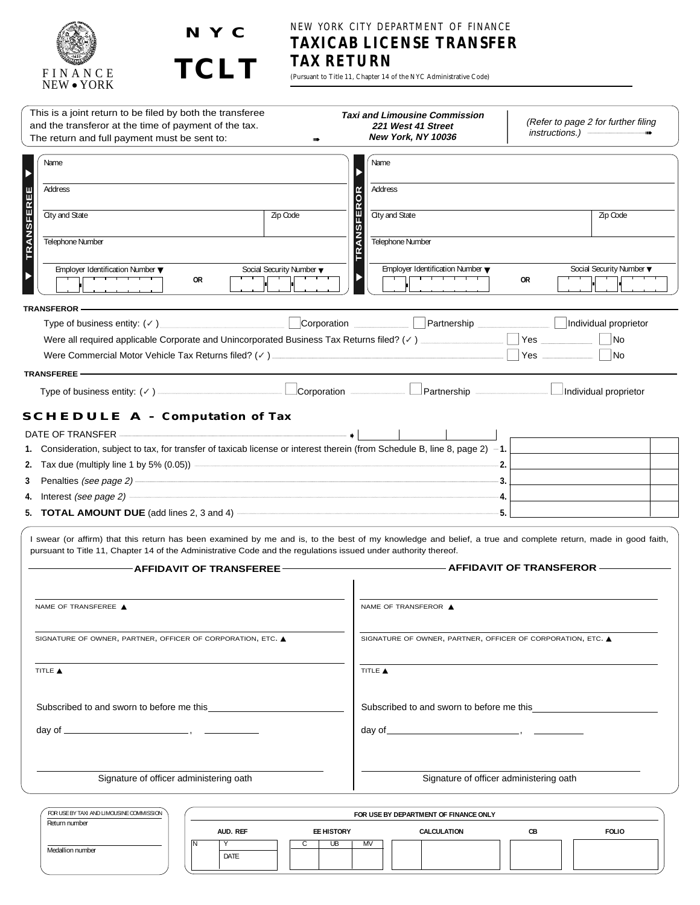



# NEW YORK CITY DEPARTMENT OF FINANCE **TAXICAB LICENSE TRANSFER TAX RETURN**

(Pursuant to Title 11, Chapter 14 of the NYC Administrative Code)

| This is a joint return to be filed by both the transferee<br>and the transferor at the time of payment of the tax.<br>The return and full payment must be sent to:                                                                                                                                                                                                                                                                                                                 |                          | <b>Taxi and Limousine Commission</b><br>221 West 41 Street<br>New York, NY 10036 | (Refer to page 2 for further filing<br>instructions.)            |
|------------------------------------------------------------------------------------------------------------------------------------------------------------------------------------------------------------------------------------------------------------------------------------------------------------------------------------------------------------------------------------------------------------------------------------------------------------------------------------|--------------------------|----------------------------------------------------------------------------------|------------------------------------------------------------------|
| Name                                                                                                                                                                                                                                                                                                                                                                                                                                                                               |                          | Name                                                                             |                                                                  |
| Address                                                                                                                                                                                                                                                                                                                                                                                                                                                                            |                          | Address                                                                          |                                                                  |
|                                                                                                                                                                                                                                                                                                                                                                                                                                                                                    |                          | FEROR                                                                            |                                                                  |
| <b>TRANSFEREE</b><br>City and State                                                                                                                                                                                                                                                                                                                                                                                                                                                | Zip Code                 | City and State                                                                   | Zip Code                                                         |
| Telephone Number                                                                                                                                                                                                                                                                                                                                                                                                                                                                   |                          | <b>TRANSI</b><br>Telephone Number                                                |                                                                  |
| Employer Identification Number $\blacktriangledown$<br><del>, , , , , , , ,</del><br>0R                                                                                                                                                                                                                                                                                                                                                                                            | Social Security Number ▼ | Employer Identification Number $\blacktriangledown$<br><del>,,,,,,,,,,,,</del>   | Social Security Number ▼<br>0R                                   |
| <b>TRANSFEROR-</b>                                                                                                                                                                                                                                                                                                                                                                                                                                                                 |                          |                                                                                  |                                                                  |
| Type of business entity: (v) Corporation Corporation Corporation Corporation Corporation Corporation Corporation Corporation Corporation Corporation Corporation Corporation Corporation Corporation Corporation Corporation C                                                                                                                                                                                                                                                     |                          |                                                                                  |                                                                  |
|                                                                                                                                                                                                                                                                                                                                                                                                                                                                                    |                          |                                                                                  | <b>No</b>                                                        |
|                                                                                                                                                                                                                                                                                                                                                                                                                                                                                    |                          |                                                                                  | <b>No</b>                                                        |
| <b>TRANSFEREE-</b>                                                                                                                                                                                                                                                                                                                                                                                                                                                                 |                          |                                                                                  |                                                                  |
|                                                                                                                                                                                                                                                                                                                                                                                                                                                                                    |                          |                                                                                  |                                                                  |
| 4. Interest (see page 2) <b>Contract Contract Contract Contract Contract Contract Contract Contract Contract Contract Contract Contract Contract Contract Contract Contract Contract Contract Contract Contract Contract Contrac</b><br>5. <b>TOTAL AMOUNT DUE</b> (add lines 2, 3 and 4) $\overline{\phantom{a}}$<br>I swear (or affirm) that this return has been examined by me and is, to the best of my knowledge and belief, a true and complete return, made in good faith, |                          |                                                                                  | ٠4.<br>-5.                                                       |
| pursuant to Title 11, Chapter 14 of the Administrative Code and the regulations issued under authority thereof.<br><b>AFFIDAVIT OF TRANSFEREE-</b>                                                                                                                                                                                                                                                                                                                                 |                          |                                                                                  | AFFIDAVIT OF TRANSFEROR - THE MANUSCREE ASSESSMENT OF TRANSFEROR |
| NAME OF TRANSFEREE ▲                                                                                                                                                                                                                                                                                                                                                                                                                                                               |                          | NAME OF TRANSFEROR ▲                                                             |                                                                  |
| SIGNATURE OF OWNER, PARTNER, OFFICER OF CORPORATION, ETC. ▲                                                                                                                                                                                                                                                                                                                                                                                                                        |                          | SIGNATURE OF OWNER, PARTNER, OFFICER OF CORPORATION, ETC. ▲                      |                                                                  |
| TITLE A                                                                                                                                                                                                                                                                                                                                                                                                                                                                            |                          | TITLE A                                                                          |                                                                  |
| Subscribed to and sworn to before me this                                                                                                                                                                                                                                                                                                                                                                                                                                          |                          |                                                                                  | Subscribed to and sworn to before me this                        |
|                                                                                                                                                                                                                                                                                                                                                                                                                                                                                    |                          |                                                                                  |                                                                  |
| Signature of officer administering oath                                                                                                                                                                                                                                                                                                                                                                                                                                            |                          | Signature of officer administering oath                                          |                                                                  |
|                                                                                                                                                                                                                                                                                                                                                                                                                                                                                    |                          |                                                                                  |                                                                  |
| FOR USE BY TAXI AND LIMOUSINE COMMISSION<br>Return number                                                                                                                                                                                                                                                                                                                                                                                                                          |                          | FOR USE BY DEPARTMENT OF FINANCE ONLY                                            |                                                                  |
|                                                                                                                                                                                                                                                                                                                                                                                                                                                                                    | AUD. REF<br>EE HISTORY   | CALCULATION                                                                      | <b>FOLIO</b><br>CВ                                               |

C | UB | MV

N Y DATE